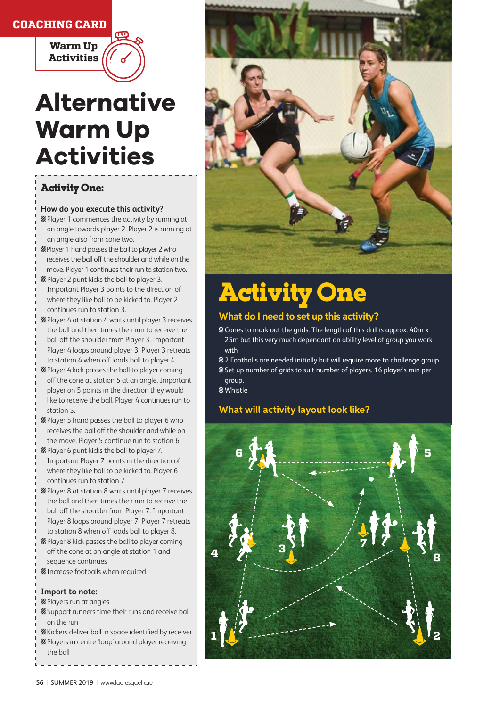## **COACHING CARD**



# **Alternative Warm Up Activities**

# Activity One:

#### **How do you execute this activity?**

- **Z** Player 1 commences the activity by running at an angle towards player 2. Player 2 is running at an angle also from cone two.
- **Z** Player 1 hand passes the ball to player 2 who receives the ball off the shoulder and while on the move. Player 1 continues their run to station two.
- **Z** Player 2 punt kicks the ball to player 3. Important Player 3 points to the direction of where they like ball to be kicked to. Player 2 continues run to station 3.
- **Z**Player 4 at station 4 waits until player 3 receives the ball and then times their run to receive the ball off the shoulder from Player 3. Important Player 4 loops around player 3. Player 3 retreats to station 4 when off loads ball to player 4.
- **Z** Player 4 kick passes the ball to player coming off the cone at station 5 at an angle. Important player on 5 points in the direction they would like to receive the ball. Player 4 continues run to station 5.
- **Z** Player 5 hand passes the ball to player 6 who receives the ball off the shoulder and while on the move. Player 5 continue run to station 6.
- **Z** Player 6 punt kicks the ball to player 7. Important Player 7 points in the direction of where they like ball to be kicked to. Player 6 continues run to station 7
- **Z**Player 8 at station 8 waits until player 7 receives the ball and then times their run to receive the ball off the shoulder from Player 7. Important Player 8 loops around player 7. Player 7 retreats to station 8 when off loads ball to player 8.
- **Z** Player 8 kick passes the ball to player coming off the cone at an angle at station 1 and sequence continues
- **Z** Increase footballs when required.

#### **Import to note:**

- **Z**Players run at angles
- **Z**Support runners time their runs and receive ball on the run
- **Z**Kickers deliver ball in space identified by receiver
- **Z**Players in centre 'loop' around player receiving
- the ball



# Activity One

### **What do I need to set up this activity?**

- **EX** Cones to mark out the grids. The length of this drill is approx. 40m x 25m but this very much dependant on ability level of group you work with
- ɛDŽ2 Footballs are needed initially but will require more to challenge group **Z** Set up number of grids to suit number of players. 16 player's min per

group. **Z**Whistle

# **What will activity layout look like?**